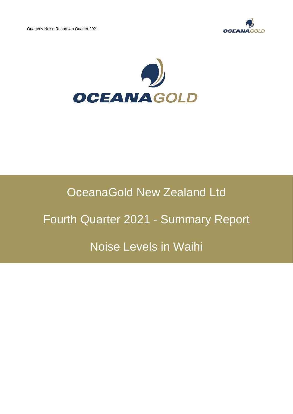



## OceanaGold New Zealand Ltd

# Fourth Quarter 2021 - Summary Report

### Noise Levels in Waihi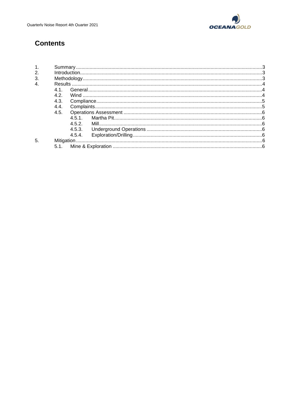

### **Contents**

| $\overline{4}$ |      |        |  |
|----------------|------|--------|--|
|                | 41   |        |  |
|                | 4.2. |        |  |
|                | 4.3. |        |  |
|                | 4.4. |        |  |
|                | 4.5. |        |  |
|                |      | 451    |  |
|                |      | 4.5.2. |  |
|                |      | 4.5.3. |  |
|                |      | 4.5.4. |  |
| 5              |      |        |  |
|                | 5.1  |        |  |
|                |      |        |  |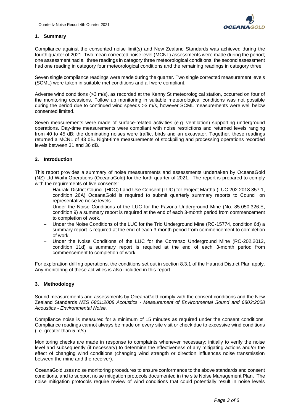

#### **1. Summary**

Compliance against the consented noise limit(s) and New Zealand Standards was achieved during the fourth quarter of 2021. Two mean corrected noise level (MCNL) assessments were made during the period; one assessment had all three readings in category three meteorological conditions, the second assessment had one reading in category four meteorological conditions and the remaining readings in category three.

Seven single compliance readings were made during the quarter. Two single corrected measurement levels (SCML) were taken in suitable met conditions and all were compliant.

Adverse wind conditions (>3 m/s), as recorded at the Kenny St meteorological station, occurred on four of the monitoring occasions. Follow up monitoring in suitable meteorological conditions was not possible during the period due to continued wind speeds >3 m/s, however SCML measurements were well below consented limited.

Seven measurements were made of surface-related activities (e.g. ventilation) supporting underground operations. Day-time measurements were compliant with noise restrictions and returned levels ranging from 40 to 45 dB; the dominating noises were traffic, birds and an excavator. Together, these readings returned a MCNL of 43 dB. Night-time measurements of stockpiling and processing operations recorded levels between 31 and 36 dB.

#### **2. Introduction**

This report provides a summary of noise measurements and assessments undertaken by OceanaGold (NZ) Ltd Waihi Operations (OceanaGold) for the forth quarter of 2021. The report is prepared to comply with the requirements of five consents:

- − Hauraki District Council (HDC) Land Use Consent (LUC) for Project Martha (LUC 202.2018.857.1, condition 26A) OceanaGold is required to submit quarterly summary reports to Council on representative noise levels.
- − Under the Noise Conditions of the LUC for the Favona Underground Mine (No. 85.050.326.E, condition 9) a summary report is required at the end of each 3-month period from commencement to completion of work.
- − Under the Noise Conditions of the LUC for the Trio Underground Mine (RC-15774, condition 6d) a summary report is required at the end of each 3-month period from commencement to completion of work.
- Under the Noise Conditions of the LUC for the Correnso Underground Mine (RC-202.2012, condition 11d) a summary report is required at the end of each 3-month period from commencement to completion of work.

For exploration drilling operations, the conditions set out in section 8.3.1 of the Hauraki District Plan apply. Any monitoring of these activities is also included in this report.

#### **3. Methodology**

Sound measurements and assessments by OceanaGold comply with the consent conditions and the New Zealand Standards *NZS 6801:2008 Acoustics - Measurement of Environmental Sound and 6802:2008 Acoustics - Environmental Noise.*

Compliance noise is measured for a minimum of 15 minutes as required under the consent conditions. Compliance readings cannot always be made on every site visit or check due to excessive wind conditions (i.e. greater than 5 m/s).

Monitoring checks are made in response to complaints whenever necessary; initially to verify the noise level and subsequently (if necessary) to determine the effectiveness of any mitigating actions and/or the effect of changing wind conditions (changing wind strength or direction influences noise transmission between the mine and the receiver).

OceanaGold uses noise monitoring procedures to ensure conformance to the above standards and consent conditions, and to support noise mitigation protocols documented in the site Noise Management Plan. The noise mitigation protocols require review of wind conditions that could potentially result in noise levels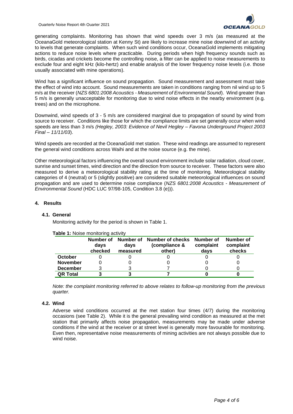

generating complaints. Monitoring has shown that wind speeds over 3 m/s (as measured at the OceanaGold meteorological station at Kenny St) are likely to increase mine noise downwind of an activity to levels that generate complaints. When such wind conditions occur, OceanaGold implements mitigating actions to reduce noise levels where practicable. During periods when high frequency sounds such as birds, cicadas and crickets become the controlling noise, a filter can be applied to noise measurements to exclude four and eight kHz (kilo-hertz) and enable analysis of the lower frequency noise levels (i.e. those usually associated with mine operations).

Wind has a significant influence on sound propagation. Sound measurement and assessment must take the effect of wind into account. Sound measurements are taken in conditions ranging from nil wind up to 5 m/s at the receiver (*NZS 6801:2008 Acoustics - Measurement of Environmental Sound*). Wind greater than 5 m/s is generally unacceptable for monitoring due to wind noise effects in the nearby environment (e.g. trees) and on the microphone.

Downwind, wind speeds of 3 - 5 m/s are considered marginal due to propagation of sound by wind from source to receiver. Conditions like those for which the compliance limits are set generally occur when wind speeds are less than 3 m/s *(Hegley, 2003: Evidence of Nevil Hegley – Favona Underground Project 2003 Final – 11/11/03*).

Wind speeds are recorded at the OceanaGold met station. These wind readings are assumed to represent the general wind conditions across Waihi and at the noise source (e.g. the mine).

Other meteorological factors influencing the overall sound environment include solar radiation, cloud cover, sunrise and sunset times, wind direction and the direction from source to receiver. These factors were also measured to derive a meteorological stability rating at the time of monitoring. Meteorological stability categories of 4 (neutral) or 5 (slightly positive) are considered suitable meteorological influences on sound propagation and are used to determine noise compliance (*NZS 6801:2008 Acoustics - Measurement of Environmental Sound* (HDC LUC 97/98-105, Condition 3.8 (e))).

#### **4. Results**

#### **4.1. General**

Monitoring activity for the period is shown in Table 1.

|                 | Number of<br>days<br>checked | Number of<br>davs<br>measured | Number of checks<br>(compliance &<br>other) | Number of<br>complaint<br>days | Number of<br>complaint<br>checks |
|-----------------|------------------------------|-------------------------------|---------------------------------------------|--------------------------------|----------------------------------|
| <b>October</b>  |                              |                               |                                             |                                |                                  |
| <b>November</b> |                              |                               |                                             |                                |                                  |
| <b>December</b> |                              |                               |                                             |                                |                                  |
| <b>QR Total</b> |                              |                               |                                             |                                |                                  |

#### **Table 1:** Noise monitoring activity

*Note: the complaint monitoring referred to above relates to follow-up monitoring from the previous quarter.*

#### **4.2. Wind**

Adverse wind conditions occurred at the met station four times (4/7) during the monitoring occasions (see Table 2). While it is the general prevailing wind condition as measured at the met station that primarily affects noise propagation, measurements may be made under adverse conditions if the wind at the receiver or at street level is generally more favourable for monitoring. Even then, representative noise measurements of mining activities are not always possible due to wind noise.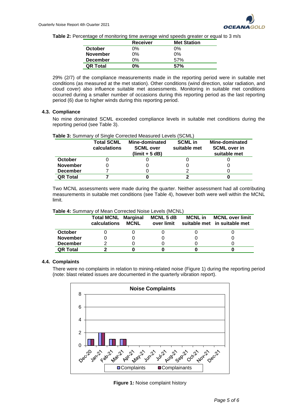

**Table 2:** Percentage of monitoring time average wind speeds greater or equal to 3 m/s

|                 | <b>Receiver</b> | <b>Met Station</b> |
|-----------------|-----------------|--------------------|
| October         | 0%              | 0%                 |
| <b>November</b> | $0\%$           | 0%                 |
| <b>December</b> | 0%              | .57%               |
| <b>QR Total</b> | 0%              | 57%                |

29% (2/7) of the compliance measurements made in the reporting period were in suitable met conditions (as measured at the met station). Other conditions (wind direction, solar radiation, and cloud cover) also influence suitable met assessments. Monitoring in suitable met conditions occurred during a smaller number of occasions during this reporting period as the last reporting period (6) due to higher winds during this reporting period.

#### **4.3. Compliance**

No mine dominated SCML exceeded compliance levels in suitable met conditions during the reporting period (see Table 3).

| Table 3: Summary of Single Corrected Measured Levels (SCML) |  |  |  |
|-------------------------------------------------------------|--|--|--|
|                                                             |  |  |  |

|                 | <b>Total SCML</b><br>calculations | Mine-dominated<br><b>SCML over</b><br>$(limit + 5 dB)$ | <b>SCML</b> in<br>suitable met | Mine-dominated<br><b>SCML</b> over in<br>suitable met |
|-----------------|-----------------------------------|--------------------------------------------------------|--------------------------------|-------------------------------------------------------|
| October         |                                   |                                                        |                                |                                                       |
| <b>November</b> |                                   |                                                        |                                |                                                       |
| <b>December</b> |                                   |                                                        |                                |                                                       |
| <b>QR Total</b> |                                   |                                                        |                                |                                                       |

Two MCNL assessments were made during the quarter. Neither assessment had all contributing measurements in suitable met conditions (see Table 4), however both were well within the MCNL limit.

| Table 4: Summary of Mean Corrected Noise Levels (MCNL) |  |
|--------------------------------------------------------|--|
|--------------------------------------------------------|--|

|                 | <b>Total MCNL Marginal</b><br>calculations | <b>MCNL</b> | <b>MCNL 5 dB</b><br>over limit | <b>MCNL</b> in | <b>MCNL over limit</b><br>suitable met in suitable met |
|-----------------|--------------------------------------------|-------------|--------------------------------|----------------|--------------------------------------------------------|
| October         |                                            |             |                                |                |                                                        |
| <b>November</b> |                                            |             |                                |                |                                                        |
| <b>December</b> |                                            |             |                                |                |                                                        |
| <b>QR Total</b> |                                            |             |                                |                |                                                        |

#### **4.4. Complaints**

There were no complaints in relation to mining-related noise (Figure 1) during the reporting period (note: blast related issues are documented in the quarterly vibration report).